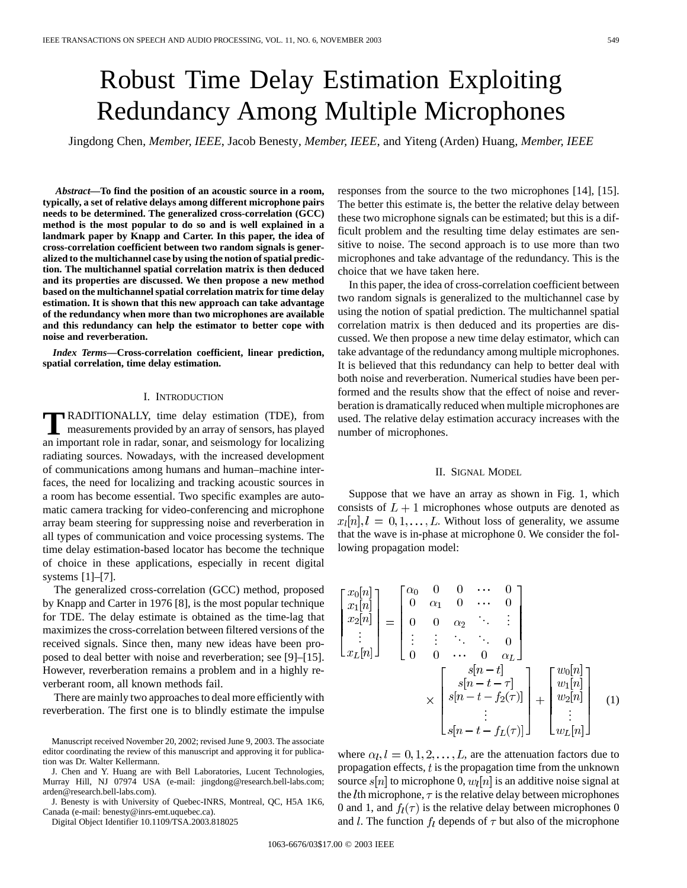# Robust Time Delay Estimation Exploiting Redundancy Among Multiple Microphones

Jingdong Chen*, Member, IEEE*, Jacob Benesty*, Member, IEEE*, and Yiteng (Arden) Huang*, Member, IEEE*

*Abstract—***To find the position of an acoustic source in a room, typically, a set of relative delays among different microphone pairs needs to be determined. The generalized cross-correlation (GCC) method is the most popular to do so and is well explained in a landmark paper by Knapp and Carter. In this paper, the idea of cross-correlation coefficient between two random signals is generalized to the multichannel case by using the notion of spatial prediction. The multichannel spatial correlation matrix is then deduced and its properties are discussed. We then propose a new method based on the multichannel spatial correlation matrix for time delay estimation. It is shown that this new approach can take advantage of the redundancy when more than two microphones are available and this redundancy can help the estimator to better cope with noise and reverberation.**

*Index Terms—***Cross-correlation coefficient, linear prediction, spatial correlation, time delay estimation.**

## I. INTRODUCTION

**TRADITIONALLY**, time delay estimation (TDE), from measurements provided by an array of sensors, has played an important role in radar, sonar, and seismology for localizing radiating sources. Nowadays, with the increased development of communications among humans and human–machine interfaces, the need for localizing and tracking acoustic sources in a room has become essential. Two specific examples are automatic camera tracking for video-conferencing and microphone array beam steering for suppressing noise and reverberation in all types of communication and voice processing systems. The time delay estimation-based locator has become the technique of choice in these applications, especially in recent digital systems [1]–[7].

The generalized cross-correlation (GCC) method, proposed by Knapp and Carter in 1976 [8], is the most popular technique for TDE. The delay estimate is obtained as the time-lag that maximizes the cross-correlation between filtered versions of the received signals. Since then, many new ideas have been proposed to deal better with noise and reverberation; see [9]–[15]. However, reverberation remains a problem and in a highly reverberant room, all known methods fail.

There are mainly two approaches to deal more efficiently with reverberation. The first one is to blindly estimate the impulse

J. Chen and Y. Huang are with Bell Laboratories, Lucent Technologies, Murray Hill, NJ 07974 USA (e-mail: jingdong@research.bell-labs.com; arden@research.bell-labs.com).

J. Benesty is with University of Quebec-INRS, Montreal, QC, H5A 1K6, Canada (e-mail: benesty@inrs-emt.uquebec.ca).

Digital Object Identifier 10.1109/TSA.2003.818025

responses from the source to the two microphones [14], [15]. The better this estimate is, the better the relative delay between these two microphone signals can be estimated; but this is a difficult problem and the resulting time delay estimates are sensitive to noise. The second approach is to use more than two microphones and take advantage of the redundancy. This is the choice that we have taken here.

In this paper, the idea of cross-correlation coefficient between two random signals is generalized to the multichannel case by using the notion of spatial prediction. The multichannel spatial correlation matrix is then deduced and its properties are discussed. We then propose a new time delay estimator, which can take advantage of the redundancy among multiple microphones. It is believed that this redundancy can help to better deal with both noise and reverberation. Numerical studies have been performed and the results show that the effect of noise and reverberation is dramatically reduced when multiple microphones are used. The relative delay estimation accuracy increases with the number of microphones.

## II. SIGNAL MODEL

Suppose that we have an array as shown in Fig. 1, which consists of  $L + 1$  microphones whose outputs are denoted as  $x_l[n], l = 0, 1, \ldots, L$ . Without loss of generality, we assume that the wave is in-phase at microphone 0. We consider the following propagation model:

$$
\begin{bmatrix} x_0[n] \\ x_1[n] \\ x_2[n] \\ \vdots \\ x_L[n] \end{bmatrix} = \begin{bmatrix} \alpha_0 & 0 & 0 & \cdots & 0 \\ 0 & \alpha_1 & 0 & \cdots & 0 \\ 0 & 0 & \alpha_2 & \ddots & \vdots \\ \vdots & \vdots & \ddots & \ddots & 0 \\ 0 & 0 & \cdots & 0 & \alpha_L \end{bmatrix}
$$

$$
\times \begin{bmatrix} s[n-t] \\ s[n-t-\tau] \\ s[n-t-f_2(\tau)] \\ \vdots \\ s[n-t-f_L(\tau)] \end{bmatrix} + \begin{bmatrix} w_0[n] \\ w_1[n] \\ w_2[n] \\ \vdots \\ w_L[n] \end{bmatrix}
$$
(1)

where  $\alpha_l, l = 0, 1, 2, \dots, L$ , are the attenuation factors due to propagation effects,  $t$  is the propagation time from the unknown source  $s[n]$  to microphone 0,  $w_i[n]$  is an additive noise signal at the *l*th microphone,  $\tau$  is the relative delay between microphones 0 and 1, and  $f_l(\tau)$  is the relative delay between microphones 0 and *l*. The function  $f_l$  depends of  $\tau$  but also of the microphone

Manuscript received November 20, 2002; revised June 9, 2003. The associate editor coordinating the review of this manuscript and approving it for publication was Dr. Walter Kellermann.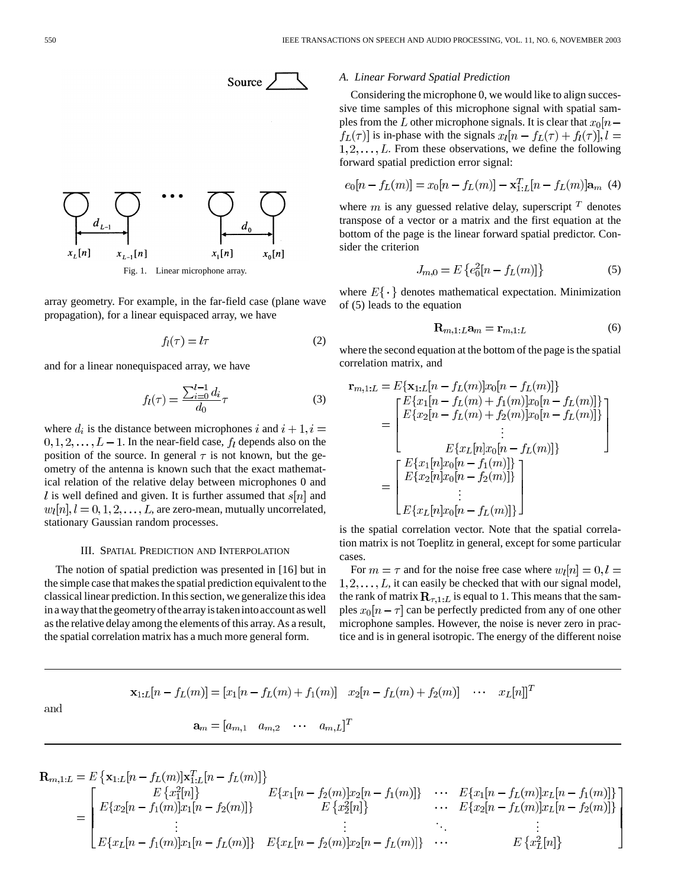



array geometry. For example, in the far-field case (plane wave propagation), for a linear equispaced array, we have

$$
f_l(\tau) = l\tau \tag{2}
$$

and for a linear nonequispaced array, we have

$$
f_l(\tau) = \frac{\sum_{i=0}^{l-1} d_i}{d_0} \tau \tag{3}
$$

where  $d_i$  is the distance between microphones i and  $i + 1$ ,  $i =$  $0, 1, 2, \ldots, L-1$ . In the near-field case,  $f_l$  depends also on the position of the source. In general  $\tau$  is not known, but the geometry of the antenna is known such that the exact mathematical relation of the relative delay between microphones 0 and l is well defined and given. It is further assumed that  $s[n]$  and  $w_l[n], l = 0, 1, 2, \ldots, L$ , are zero-mean, mutually uncorrelated, stationary Gaussian random processes.

### III. SPATIAL PREDICTION AND INTERPOLATION

The notion of spatial prediction was presented in [16] but in the simple case that makes the spatial prediction equivalent to the classical linear prediction. In this section, we generalize this idea in a way that the geometry of the array is taken into account as well as the relative delay among the elements of this array. As a result, the spatial correlation matrix has a much more general form.

#### *A. Linear Forward Spatial Prediction*

Considering the microphone 0, we would like to align successive time samples of this microphone signal with spatial samples from the L other microphone signals. It is clear that  $x_0[n]$  $f_L(\tau)$  is in-phase with the signals  $x_l[n - f_L(\tau) + f_l(\tau)], l =$  $1, 2, \ldots, L$ . From these observations, we define the following forward spatial prediction error signal:

$$
e_0[n - f_L(m)] = x_0[n - f_L(m)] - \mathbf{x}_{1:L}^T[n - f_L(m)]\mathbf{a}_m \tag{4}
$$

where  $m$  is any guessed relative delay, superscript  $T$  denotes transpose of a vector or a matrix and the first equation at the bottom of the page is the linear forward spatial predictor. Consider the criterion

$$
J_{m,0} = E\left\{e_0^2[n - f_L(m)]\right\} \tag{5}
$$

where  $E\{\cdot\}$  denotes mathematical expectation. Minimization of (5) leads to the equation

$$
\mathbf{R}_{m,1:L}\mathbf{a}_m = \mathbf{r}_{m,1:L} \tag{6}
$$

where the second equation at the bottom of the page is the spatial correlation matrix, and

$$
\mathbf{r}_{m,1:L} = E\{\mathbf{x}_{1:L}[n - f_L(m)]x_0[n - f_L(m)]\}
$$
\n
$$
= \begin{bmatrix} E\{x_1[n - f_L(m) + f_1(m)]x_0[n - f_L(m)]\} \\ E\{x_2[n - f_L(m) + f_2(m)]x_0[n - f_L(m)]\} \\ \vdots \\ E\{x_L[n]x_0[n - f_L(m)]\} \\ E\{x_1[n]x_0[n - f_1(m)]\} \\ \vdots \\ E\{x_L[n]x_0[n - f_2(m)]\} \end{bmatrix}
$$

is the spatial correlation vector. Note that the spatial correlation matrix is not Toeplitz in general, except for some particular cases.

For  $m = \tau$  and for the noise free case where  $w_l[n] = 0, l =$  $1, 2, \ldots, L$ , it can easily be checked that with our signal model, the rank of matrix  $\mathbf{R}_{\tau,1:L}$  is equal to 1. This means that the samples  $x_0[n - \tau]$  can be perfectly predicted from any of one other microphone samples. However, the noise is never zero in practice and is in general isotropic. The energy of the different noise

$$
\mathbf{x}_{1:L}[n - f_L(m)] = [x_1[n - f_L(m) + f_1(m)] \quad x_2[n - f_L(m) + f_2(m)] \quad \cdots \quad x_L[n]]^T
$$

$$
\mathbf{a}_m = [a_{m,1} \quad a_{m,2} \quad \cdots \quad a_{m,L}]^T
$$

$$
\mathbf{R}_{m,1:L} = E\left\{\mathbf{x}_{1:L}[n - f_L(m)]\mathbf{x}_{1:L}^T[n - f_L(m)]\right\}
$$
\n
$$
= \begin{bmatrix}\nE\{x_1[n - f_L(m)]x_1[n - f_L(m)]\} & E\{x_1[n - f_2(m)]x_2[n - f_1(m)]\} & \cdots & E\{x_1[n - f_L(m)]x_L[n - f_1(m)]\} \\
E\{x_2[n - f_1(m)]x_1[n - f_2(m)]\} & E\{x_2[n]\} & \cdots & E\{x_2[n - f_L(m)]x_L[n - f_2(m)]\} \\
\vdots & \vdots & \ddots & \vdots \\
E\{x_L[n - f_1(m)]x_1[n - f_L(m)]\} & E\{x_L[n - f_2(m)]x_2[n - f_L(m)]\} & \cdots & E\{\hat{x}_L^2[n]\}\n\end{bmatrix}
$$



and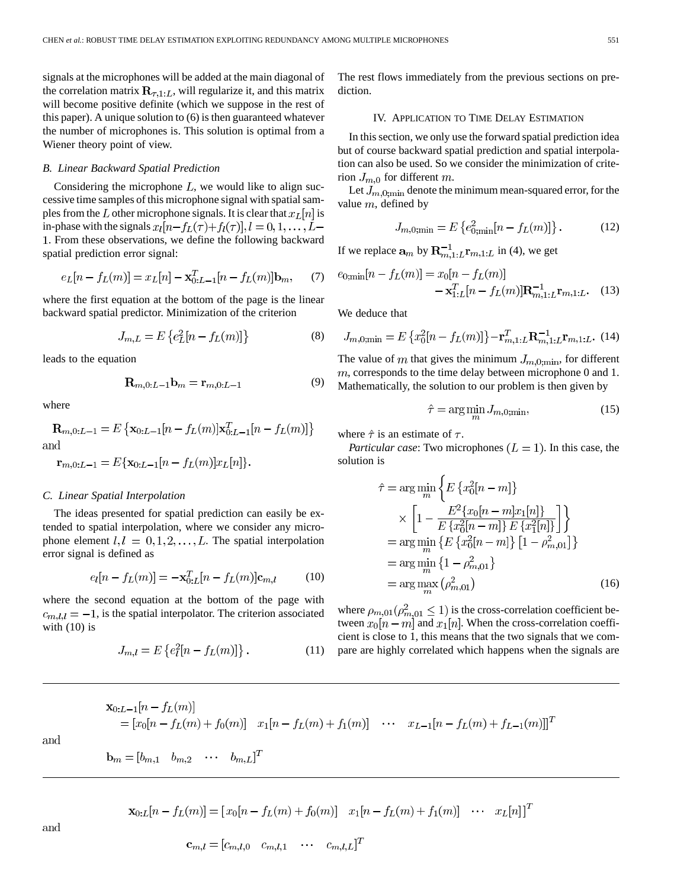signals at the microphones will be added at the main diagonal of the correlation matrix  $\mathbf{R}_{\tau,1:L}$ , will regularize it, and this matrix will become positive definite (which we suppose in the rest of this paper). A unique solution to (6) is then guaranteed whatever the number of microphones is. This solution is optimal from a Wiener theory point of view.

## *B. Linear Backward Spatial Prediction*

Considering the microphone  $L$ , we would like to align successive time samples of this microphone signal with spatial samples from the L other microphone signals. It is clear that  $x_L[n]$  is in-phase with the signals  $x_l[n-f_L(\tau)+f_l(\tau)], l=0,1,\ldots,L-$ . From these observations, we define the following backward spatial prediction error signal:

$$
e_L[n - f_L(m)] = x_L[n] - \mathbf{x}_{0:L-1}^T[n - f_L(m)]\mathbf{b}_m,\tag{7}
$$

where the first equation at the bottom of the page is the linear backward spatial predictor. Minimization of the criterion

$$
J_{m,L} = E\left\{e_L^2[n - f_L(m)]\right\}
$$
 (8)

leads to the equation

$$
\mathbf{R}_{m,0:L-1}\mathbf{b}_m = \mathbf{r}_{m,0:L-1} \tag{9}
$$

where

$$
\mathbf{R}_{m,0:L-1} = E\left\{ \mathbf{x}_{0:L-1}[n - f_L(m)]\mathbf{x}_{0:L-1}^T[n - f_L(m)] \right\}
$$
  
and  

$$
\mathbf{r}_{m,0:L-1} = E\left\{ \mathbf{x}_{0:L-1}[n - f_L(m)]x_L[n] \right\}.
$$

#### *C. Linear Spatial Interpolation*

The ideas presented for spatial prediction can easily be extended to spatial interpolation, where we consider any microphone element  $l, l = 0, 1, 2, \ldots, L$ . The spatial interpolation error signal is defined as

$$
e_l[n - f_L(m)] = -\mathbf{x}_{0:L}^T[n - f_L(m)]\mathbf{c}_{m,l} \tag{10}
$$

where the second equation at the bottom of the page with  $c_{m,l,l} = -1$ , is the spatial interpolator. The criterion associated with  $(10)$  is

$$
J_{m,l} = E\left\{e_l^2[n - f_L(m)]\right\}.
$$
 (11)

The rest flows immediately from the previous sections on prediction.

## IV. APPLICATION TO TIME DELAY ESTIMATION

In this section, we only use the forward spatial prediction idea but of course backward spatial prediction and spatial interpolation can also be used. So we consider the minimization of criterion  $J_{m,0}$  for different m.

Let  $J_{m,0;min}$  denote the minimum mean-squared error, for the value  $m$ , defined by

$$
J_{m,0;\min} = E\left\{e_{0;\min}^2[n - f_L(m)]\right\}.
$$
 (12)

If we replace  $\mathbf{a}_m$  by  $\mathbf{R}_{m,1:L}^{-1}\mathbf{r}_{m,1:L}$  in (4), we get

$$
e_{0;\min}[n - f_L(m)] = x_0[n - f_L(m)] - \mathbf{x}_{1:L}^T[n - f_L(m)]\mathbf{R}_{m,1:L}^{-1}\mathbf{r}_{m,1:L}.
$$
 (13)

We deduce that

$$
J_{m,0;\min} = E\left\{x_0^2[n - f_L(m)]\right\} - \mathbf{r}_{m,1:L}^T \mathbf{R}_{m,1:L}^{-1} \mathbf{r}_{m,1:L}.
$$
 (14)

The value of m that gives the minimum  $J_{m,0;\text{min}}$ , for different  $m$ , corresponds to the time delay between microphone 0 and 1. Mathematically, the solution to our problem is then given by

$$
\hat{\tau} = \arg\min_{m} J_{m,0;\min},\tag{15}
$$

where  $\hat{\tau}$  is an estimate of  $\tau$ .

*Particular case:* Two microphones  $(L = 1)$ . In this case, the solution is

$$
\hat{\tau} = \arg\min_{m} \left\{ E \left\{ x_0^2[n-m] \right\} \times \left[ 1 - \frac{E^2 \{ x_0[n-m]x_1[n] \}}{E \left\{ x_0^2[n-m] \right\} E \left\{ x_1^2[n] \right\}} \right] \right\}
$$
  
= 
$$
\arg\min_{m} \left\{ E \left\{ x_0^2[n-m] \right\} \left[ 1 - \rho_{m,01}^2 \right] \right\}
$$
  
= 
$$
\arg\min_{m} \left\{ 1 - \rho_{m,01}^2 \right\}
$$
  
= 
$$
\arg\max_{m} (\rho_{m,01}^2)
$$
 (16)

where  $\rho_{m,01}(\rho_{m,01}^2 \leq 1)$  is the cross-correlation coefficient between  $x_0[n-m]$  and  $x_1[n]$ . When the cross-correlation coefficient is close to 1, this means that the two signals that we compare are highly correlated which happens when the signals are

$$
\mathbf{x}_{0:L-1}[n - f_L(m)]
$$
  
=  $[x_0[n - f_L(m) + f_0(m)]$   $x_1[n - f_L(m) + f_1(m)]$   $\cdots$   $x_{L-1}[n - f_L(m) + f_{L-1}(m)]]^T$   

$$
\mathbf{b}_m = [b_{m,1} \quad b_{m,2} \quad \cdots \quad b_{m,L}]^T
$$

and

$$
\mathbf{x}_{0:L}[n - f_L(m)] = [x_0[n - f_L(m) + f_0(m)] \quad x_1[n - f_L(m) + f_1(m)] \quad \cdots \quad x_L[n]]^T
$$

$$
\mathbf{c}_{m,l} = [c_{m,l,0} \quad c_{m,l,1} \quad \cdots \quad c_{m,l,L}]^T
$$

and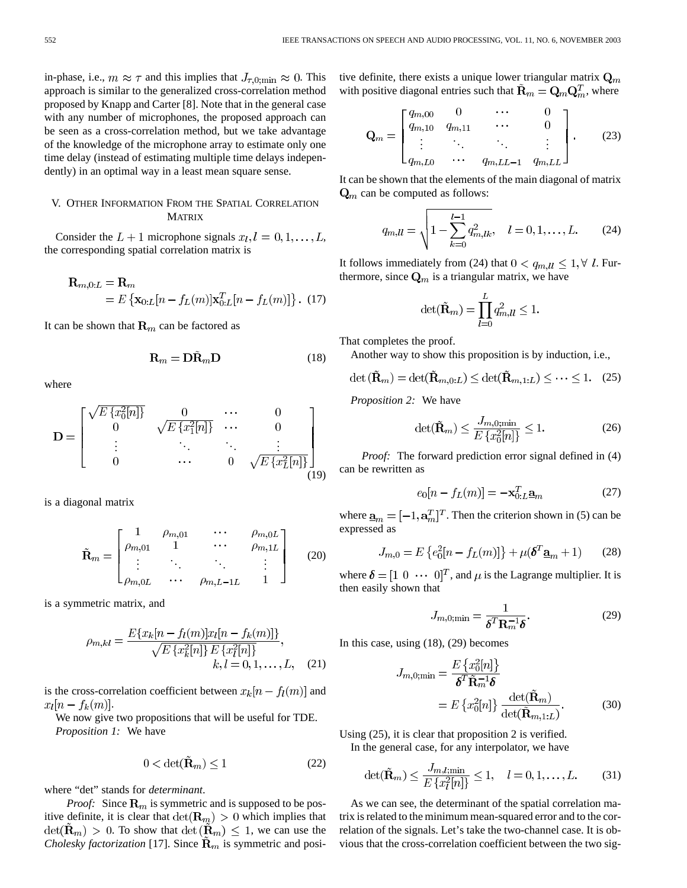in-phase, i.e.,  $m \approx \tau$  and this implies that  $J_{\tau,0;min} \approx 0$ . This approach is similar to the generalized cross-correlation method proposed by Knapp and Carter [8]. Note that in the general case with any number of microphones, the proposed approach can be seen as a cross-correlation method, but we take advantage of the knowledge of the microphone array to estimate only one time delay (instead of estimating multiple time delays independently) in an optimal way in a least mean square sense.

## V. OTHER INFORMATION FROM THE SPATIAL CORRELATION **MATRIX**

Consider the  $L+1$  microphone signals  $x_l, l = 0, 1, \ldots, L$ , the corresponding spatial correlation matrix is

$$
\mathbf{R}_{m,0:L} = \mathbf{R}_m
$$
  
=  $E\left\{\mathbf{x}_{0:L}[n - f_L(m)]\mathbf{x}_{0:L}^T[n - f_L(m)]\right\}$ . (17)

It can be shown that  $\mathbf{R}_m$  can be factored as

$$
\mathbf{R}_m = \mathbf{D}\tilde{\mathbf{R}}_m \mathbf{D} \tag{18}
$$

where

$$
\mathbf{D} = \begin{bmatrix} \sqrt{E\{x_0^2[n]\}} & 0 & \cdots & 0 \\ 0 & \sqrt{E\{x_1^2[n]\}} & \cdots & 0 \\ \vdots & \ddots & \ddots & \vdots \\ 0 & \cdots & 0 & \sqrt{E\{x_L^2[n]\}} \end{bmatrix}
$$
(19)

is a diagonal matrix

$$
\tilde{\mathbf{R}}_{m} = \begin{bmatrix} 1 & \rho_{m,01} & \cdots & \rho_{m,0L} \\ \rho_{m,01} & 1 & \cdots & \rho_{m,1L} \\ \vdots & \ddots & \ddots & \vdots \\ \rho_{m,0L} & \cdots & \rho_{m,L-1L} & 1 \end{bmatrix}
$$
 (20)

is a symmetric matrix, and

$$
\rho_{m,kl} = \frac{E\{x_k[n - f_l(m)]x_l[n - f_k(m)]\}}{\sqrt{E\{x_k^2[n]\}E\{x_l^2[n]\}}},
$$
\n
$$
k, l = 0, 1, ..., L,
$$
\n(21)

is the cross-correlation coefficient between  $x_k[n - f_l(m)]$  and  $x_l[n-f_k(m)]$ .

We now give two propositions that will be useful for TDE. *Proposition 1:* We have

$$
0 < \det(\tilde{\mathbf{R}}_m) \le 1\tag{22}
$$

where "det" stands for *determinant*.

*Proof:* Since  $\mathbf{R}_m$  is symmetric and is supposed to be positive definite, it is clear that  $\det(\mathbf{R}_m) > 0$  which implies that  $\det(\mathbf{R}_m) > 0$ . To show that  $\det(\mathbf{R}_m) \leq 1$ , we can use the *Cholesky factorization* [17]. Since  $\mathbf{R}_m$  is symmetric and positive definite, there exists a unique lower triangular matrix  $\mathbf{Q}_m$ with positive diagonal entries such that  $\mathbf{R}_m = \mathbf{Q}_m \mathbf{Q}_m^T$ , where

$$
\mathbf{Q}_m = \begin{bmatrix} q_{m,00} & 0 & \cdots & 0 \\ q_{m,10} & q_{m,11} & \cdots & 0 \\ \vdots & \ddots & \ddots & \vdots \\ q_{m,L0} & \cdots & q_{m,LL-1} & q_{m,LL} \end{bmatrix} .
$$
 (23)

It can be shown that the elements of the main diagonal of matrix  $\mathbf{Q}_m$  can be computed as follows:

$$
q_{m,l} = \sqrt{1 - \sum_{k=0}^{l-1} q_{m,lk}^2}, \quad l = 0, 1, ..., L.
$$
 (24)

It follows immediately from (24) that  $0 < q_{m,l} \leq 1, \forall l$ . Furthermore, since  $\mathbf{Q}_m$  is a triangular matrix, we have

$$
\det(\tilde{\mathbf{R}}_m) = \prod_{l=0}^L q_{m,l}^2 \le 1.
$$

That completes the proof.

Another way to show this proposition is by induction, i.e.,

$$
\det(\tilde{\mathbf{R}}_m) = \det(\tilde{\mathbf{R}}_{m,0:L}) \le \det(\tilde{\mathbf{R}}_{m,1:L}) \le \cdots \le 1. \quad (25)
$$

*Proposition 2:* We have

$$
\det(\tilde{\mathbf{R}}_m) \le \frac{J_{m,0;\min}}{E\left\{x_0^2[n]\right\}} \le 1. \tag{26}
$$

*Proof:* The forward prediction error signal defined in (4) can be rewritten as

$$
e_0[n - f_L(m)] = -\mathbf{x}_{0:L}^T \mathbf{a}_m \tag{27}
$$

where  $\underline{\mathbf{a}}_m = [-1, \mathbf{a}_m^T]^T$ . Then the criterion shown in (5) can be expressed as

$$
J_{m,0} = E\left\{e_0^2[n - f_L(m)]\right\} + \mu(\delta^T \underline{\mathbf{a}}_m + 1) \tag{28}
$$

where  $\boldsymbol{\delta} = [1 \ 0 \ \cdots \ 0]^T$ , and  $\mu$  is the Lagrange multiplier. It is then easily shown that

$$
J_{m,0;\min} = \frac{1}{\delta^T \mathbf{R}_m^{-1} \delta}.
$$
 (29)

In this case, using (18), (29) becomes

$$
J_{m,0;\min} = \frac{E\left\{x_0^2[n]\right\}}{\delta^T \tilde{\mathbf{R}}_m^{-1} \delta}
$$
  
=  $E\left\{x_0^2[n]\right\} \frac{\det(\tilde{\mathbf{R}}_m)}{\det(\tilde{\mathbf{R}}_{m,1:L})}$ . (30)

Using (25), it is clear that proposition 2 is verified. In the general case, for any interpolator, we have

$$
\det(\tilde{\mathbf{R}}_m) \le \frac{J_{m,l;\min}}{E\left\{x_l^2[n]\right\}} \le 1, \quad l = 0, 1, \dots, L. \tag{31}
$$

As we can see, the determinant of the spatial correlation matrix is related to the minimum mean-squared error and to the correlation of the signals. Let's take the two-channel case. It is obvious that the cross-correlation coefficient between the two sig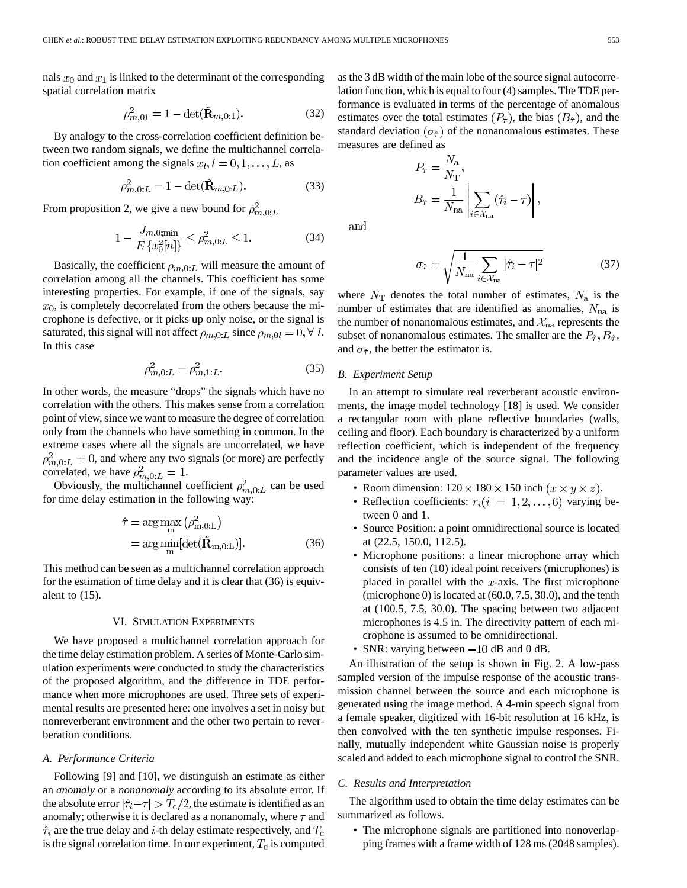nals  $x_0$  and  $x_1$  is linked to the determinant of the corresponding spatial correlation matrix

$$
\rho_{m,01}^2 = 1 - \det(\tilde{\mathbf{R}}_{m,0:1}).\tag{32}
$$

By analogy to the cross-correlation coefficient definition between two random signals, we define the multichannel correlation coefficient among the signals  $x_l, l = 0, 1, \ldots, L$ , as

$$
\rho_{m,0:L}^2 = 1 - \det(\tilde{\mathbf{R}}_{m,0:L}).
$$
\n(33)

From proposition 2, we give a new bound for  $\rho_{m,0:L}^2$ 

$$
1 - \frac{J_{m,0;\min}}{E\left\{x_0^2[n]\right\}} \le \rho_{m,0:L}^2 \le 1. \tag{34}
$$

Basically, the coefficient  $\rho_{m,0:L}$  will measure the amount of correlation among all the channels. This coefficient has some interesting properties. For example, if one of the signals, say  $x<sub>0</sub>$ , is completely decorrelated from the others because the microphone is defective, or it picks up only noise, or the signal is saturated, this signal will not affect  $\rho_{m,0:L}$  since  $\rho_{m,0l} = 0, \forall l$ . In this case

$$
\rho_{m,0:L}^2 = \rho_{m,1:L}^2.
$$
\n(35)

In other words, the measure "drops" the signals which have no correlation with the others. This makes sense from a correlation point of view, since we want to measure the degree of correlation only from the channels who have something in common. In the extreme cases where all the signals are uncorrelated, we have  $\rho_{m,0:L}^2 = 0$ , and where any two signals (or more) are perfectly correlated, we have  $\rho_{m,0:L}^2 = 1$ .

Obviously, the multichannel coefficient  $\rho_{m,0,L}^2$  can be used for time delay estimation in the following way:

$$
\hat{\tau} = \arg\max_{\mathbf{m}} (\rho_{\mathbf{m},0:L}^2)
$$
  
= arg min[det( $\tilde{\mathbf{R}}_{\mathbf{m},0:L}$ )]. (36)

This method can be seen as a multichannel correlation approach for the estimation of time delay and it is clear that (36) is equivalent to (15).

## VI. SIMULATION EXPERIMENTS

We have proposed a multichannel correlation approach for the time delay estimation problem. A series of Monte-Carlo simulation experiments were conducted to study the characteristics of the proposed algorithm, and the difference in TDE performance when more microphones are used. Three sets of experimental results are presented here: one involves a set in noisy but nonreverberant environment and the other two pertain to reverberation conditions.

## *A. Performance Criteria*

Following [9] and [10], we distinguish an estimate as either an *anomaly* or a *nonanomaly* according to its absolute error. If the absolute error  $|\hat{\tau}_i - \tau| > T_c/2$ , the estimate is identified as an anomaly; otherwise it is declared as a nonanomaly, where  $\tau$  and  $\hat{\tau}_i$  are the true delay and *i*-th delay estimate respectively, and  $T_c$ is the signal correlation time. In our experiment,  $T_c$  is computed as the 3 dB width of the main lobe of the source signal autocorrelation function, which is equal to four (4) samples. The TDE performance is evaluated in terms of the percentage of anomalous estimates over the total estimates  $(P_{\hat{\tau}})$ , the bias  $(B_{\hat{\tau}})$ , and the standard deviation  $(\sigma_{\hat{\tau}})$  of the nonanomalous estimates. These measures are defined as

$$
P_{\hat{\tau}} = \frac{N_{\rm a}}{N_{\rm T}},
$$

$$
B_{\hat{\tau}} = \frac{1}{N_{\rm na}} \left| \sum_{i \in \mathcal{X}_{\rm na}} (\hat{\tau}_i - \tau) \right|,
$$

and

$$
\sigma_{\hat{\tau}} = \sqrt{\frac{1}{N_{\text{na}}}\sum_{i \in \mathcal{X}_{\text{na}}} |\hat{\tau}_i - \tau|^2}
$$
(37)

where  $N_{\rm T}$  denotes the total number of estimates,  $N_{\rm a}$  is the number of estimates that are identified as anomalies,  $N_{\text{na}}$  is the number of nonanomalous estimates, and  $\mathcal{X}_{na}$  represents the subset of nonanomalous estimates. The smaller are the  $P_{\hat{\tau}}, B_{\hat{\tau}},$ and  $\sigma_{\hat{\tau}}$ , the better the estimator is.

## *B. Experiment Setup*

In an attempt to simulate real reverberant acoustic environments, the image model technology [18] is used. We consider a rectangular room with plane reflective boundaries (walls, ceiling and floor). Each boundary is characterized by a uniform reflection coefficient, which is independent of the frequency and the incidence angle of the source signal. The following parameter values are used.

- Room dimension:  $120 \times 180 \times 150$  inch  $(x \times y \times z)$ .
- Reflection coefficients:  $r_i(i = 1, 2, \ldots, 6)$  varying between 0 and 1.
- Source Position: a point omnidirectional source is located at (22.5, 150.0, 112.5).
- Microphone positions: a linear microphone array which consists of ten (10) ideal point receivers (microphones) is placed in parallel with the  $x$ -axis. The first microphone (microphone 0) is located at (60.0, 7.5, 30.0), and the tenth at (100.5, 7.5, 30.0). The spacing between two adjacent microphones is 4.5 in. The directivity pattern of each microphone is assumed to be omnidirectional.
- SNR: varying between  $-10$  dB and 0 dB.

An illustration of the setup is shown in Fig. 2. A low-pass sampled version of the impulse response of the acoustic transmission channel between the source and each microphone is generated using the image method. A 4-min speech signal from a female speaker, digitized with 16-bit resolution at 16 kHz, is then convolved with the ten synthetic impulse responses. Finally, mutually independent white Gaussian noise is properly scaled and added to each microphone signal to control the SNR.

## *C. Results and Interpretation*

The algorithm used to obtain the time delay estimates can be summarized as follows.

• The microphone signals are partitioned into nonoverlapping frames with a frame width of 128 ms (2048 samples).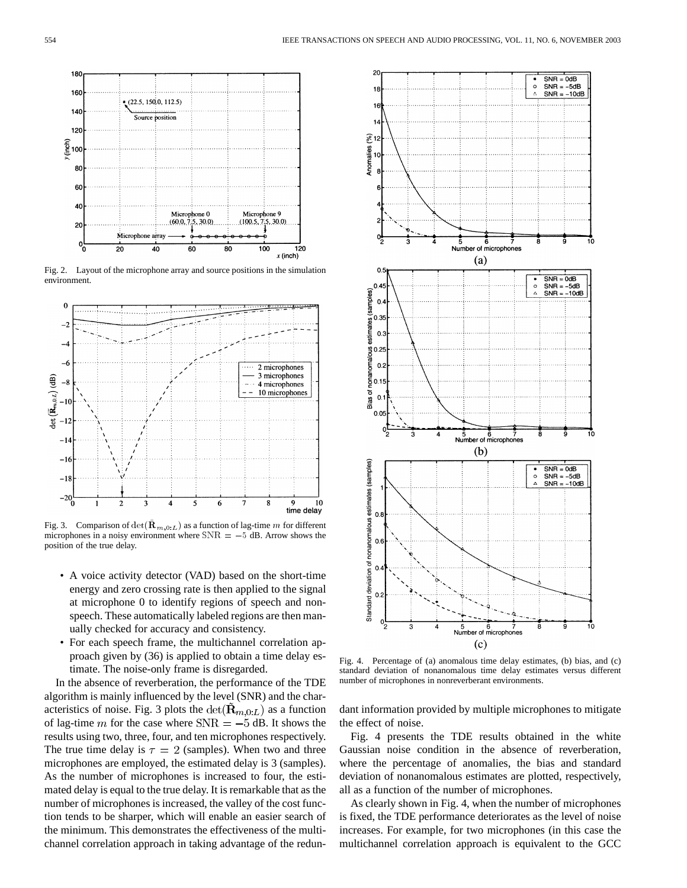

Fig. 2. Layout of the microphone array and source positions in the simulation environment.



Fig. 3. Comparison of  $\det(\bar{\mathbf{R}}_{m,0:L})$  as a function of lag-time m for different position of the true delay.

- A voice activity detector (VAD) based on the short-time energy and zero crossing rate is then applied to the signal at microphone 0 to identify regions of speech and nonspeech. These automatically labeled regions are then manually checked for accuracy and consistency.
- For each speech frame, the multichannel correlation approach given by (36) is applied to obtain a time delay estimate. The noise-only frame is disregarded.

In the absence of reverberation, the performance of the TDE algorithm is mainly influenced by the level (SNR) and the characteristics of noise. Fig. 3 plots the  $\det(\mathbf{R}_{m,0:L})$  as a function of lag-time m for the case where  $SNR = -5$  dB. It shows the results using two, three, four, and ten microphones respectively. The true time delay is  $\tau = 2$  (samples). When two and three microphones are employed, the estimated delay is 3 (samples). As the number of microphones is increased to four, the estimated delay is equal to the true delay. It is remarkable that as the number of microphones is increased, the valley of the cost function tends to be sharper, which will enable an easier search of the minimum. This demonstrates the effectiveness of the multichannel correlation approach in taking advantage of the redun-



Fig. 4. Percentage of (a) anomalous time delay estimates, (b) bias, and (c) standard deviation of nonanomalous time delay estimates versus different number of microphones in nonreverberant environments.

dant information provided by multiple microphones to mitigate the effect of noise.

Fig. 4 presents the TDE results obtained in the white Gaussian noise condition in the absence of reverberation, where the percentage of anomalies, the bias and standard deviation of nonanomalous estimates are plotted, respectively, all as a function of the number of microphones.

As clearly shown in Fig. 4, when the number of microphones is fixed, the TDE performance deteriorates as the level of noise increases. For example, for two microphones (in this case the multichannel correlation approach is equivalent to the GCC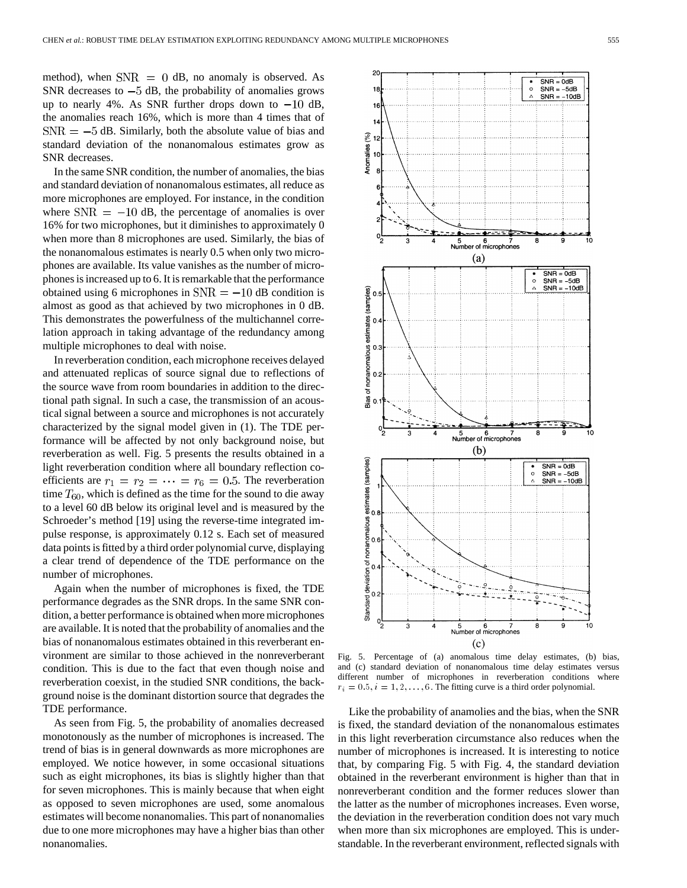method), when  $SNR = 0$  dB, no anomaly is observed. As SNR decreases to  $-5$  dB, the probability of anomalies grows up to nearly 4%. As SNR further drops down to  $-10$  dB, the anomalies reach 16%, which is more than 4 times that of  $SNR = -5$  dB. Similarly, both the absolute value of bias and standard deviation of the nonanomalous estimates grow as SNR decreases.

In the same SNR condition, the number of anomalies, the bias and standard deviation of nonanomalous estimates, all reduce as more microphones are employed. For instance, in the condition where  $SNR = -10$  dB, the percentage of anomalies is over 16% for two microphones, but it diminishes to approximately 0 when more than 8 microphones are used. Similarly, the bias of the nonanomalous estimates is nearly 0.5 when only two microphones are available. Its value vanishes as the number of microphones is increased up to 6. It is remarkable that the performance obtained using 6 microphones in  $SNR = -10$  dB condition is almost as good as that achieved by two microphones in 0 dB. This demonstrates the powerfulness of the multichannel correlation approach in taking advantage of the redundancy among multiple microphones to deal with noise.

In reverberation condition, each microphone receives delayed and attenuated replicas of source signal due to reflections of the source wave from room boundaries in addition to the directional path signal. In such a case, the transmission of an acoustical signal between a source and microphones is not accurately characterized by the signal model given in (1). The TDE performance will be affected by not only background noise, but reverberation as well. Fig. 5 presents the results obtained in a light reverberation condition where all boundary reflection coefficients are  $r_1 = r_2 = \cdots = r_6 = 0.5$ . The reverberation time  $T_{60}$ , which is defined as the time for the sound to die away to a level 60 dB below its original level and is measured by the Schroeder's method [19] using the reverse-time integrated impulse response, is approximately 0.12 s. Each set of measured data points is fitted by a third order polynomial curve, displaying a clear trend of dependence of the TDE performance on the number of microphones.

Again when the number of microphones is fixed, the TDE performance degrades as the SNR drops. In the same SNR condition, a better performance is obtained when more microphones are available. It is noted that the probability of anomalies and the bias of nonanomalous estimates obtained in this reverberant environment are similar to those achieved in the nonreverberant condition. This is due to the fact that even though noise and reverberation coexist, in the studied SNR conditions, the background noise is the dominant distortion source that degrades the TDE performance.

As seen from Fig. 5, the probability of anomalies decreased monotonously as the number of microphones is increased. The trend of bias is in general downwards as more microphones are employed. We notice however, in some occasional situations such as eight microphones, its bias is slightly higher than that for seven microphones. This is mainly because that when eight as opposed to seven microphones are used, some anomalous estimates will become nonanomalies. This part of nonanomalies due to one more microphones may have a higher bias than other nonanomalies.



Fig. 5. Percentage of (a) anomalous time delay estimates, (b) bias, and (c) standard deviation of nonanomalous time delay estimates versus different number of microphones in reverberation conditions where  $r_i = 0.5, i = 1, 2, \ldots, 6$ . The fitting curve is a third order polynomial.

Like the probability of anamolies and the bias, when the SNR is fixed, the standard deviation of the nonanomalous estimates in this light reverberation circumstance also reduces when the number of microphones is increased. It is interesting to notice that, by comparing Fig. 5 with Fig. 4, the standard deviation obtained in the reverberant environment is higher than that in nonreverberant condition and the former reduces slower than the latter as the number of microphones increases. Even worse, the deviation in the reverberation condition does not vary much when more than six microphones are employed. This is understandable. In the reverberant environment, reflected signals with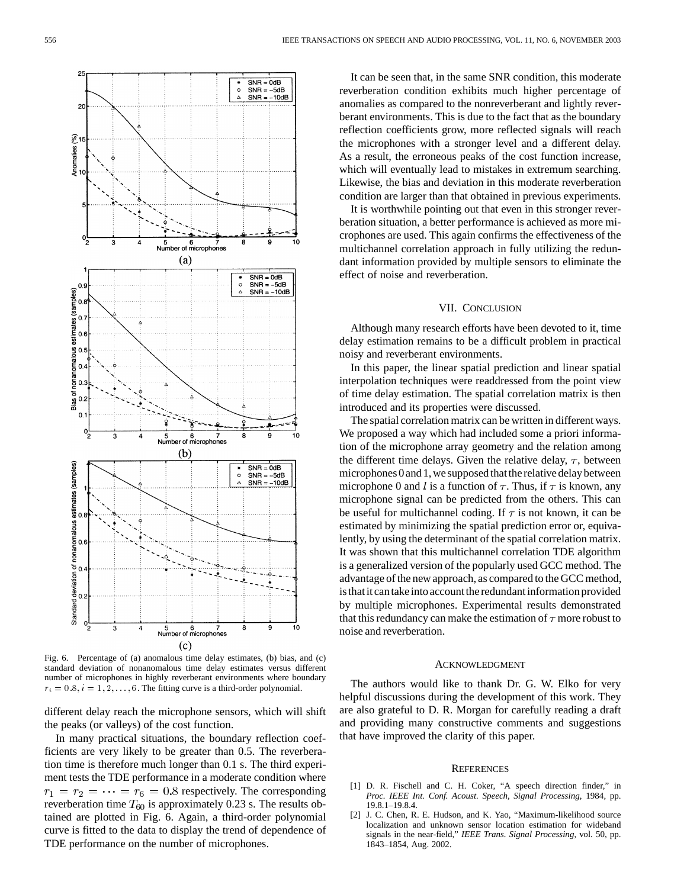

Fig. 6. Percentage of (a) anomalous time delay estimates, (b) bias, and (c) standard deviation of nonanomalous time delay estimates versus different number of microphones in highly reverberant environments where boundary  $r_i = 0.8, i = 1, 2, \ldots, 6$ . The fitting curve is a third-order polynomial.

different delay reach the microphone sensors, which will shift the peaks (or valleys) of the cost function.

In many practical situations, the boundary reflection coefficients are very likely to be greater than 0.5. The reverberation time is therefore much longer than 0.1 s. The third experiment tests the TDE performance in a moderate condition where  $r_1 = r_2 = \cdots = r_6 = 0.8$  respectively. The corresponding reverberation time  $T_{60}$  is approximately 0.23 s. The results obtained are plotted in Fig. 6. Again, a third-order polynomial curve is fitted to the data to display the trend of dependence of TDE performance on the number of microphones.

It can be seen that, in the same SNR condition, this moderate reverberation condition exhibits much higher percentage of anomalies as compared to the nonreverberant and lightly reverberant environments. This is due to the fact that as the boundary reflection coefficients grow, more reflected signals will reach the microphones with a stronger level and a different delay. As a result, the erroneous peaks of the cost function increase, which will eventually lead to mistakes in extremum searching. Likewise, the bias and deviation in this moderate reverberation condition are larger than that obtained in previous experiments.

It is worthwhile pointing out that even in this stronger reverberation situation, a better performance is achieved as more microphones are used. This again confirms the effectiveness of the multichannel correlation approach in fully utilizing the redundant information provided by multiple sensors to eliminate the effect of noise and reverberation.

## VII. CONCLUSION

Although many research efforts have been devoted to it, time delay estimation remains to be a difficult problem in practical noisy and reverberant environments.

In this paper, the linear spatial prediction and linear spatial interpolation techniques were readdressed from the point view of time delay estimation. The spatial correlation matrix is then introduced and its properties were discussed.

The spatial correlation matrix can be written in different ways. We proposed a way which had included some a priori information of the microphone array geometry and the relation among the different time delays. Given the relative delay,  $\tau$ , between microphones 0 and 1, we supposed that the relative delay between microphone 0 and *l* is a function of  $\tau$ . Thus, if  $\tau$  is known, any microphone signal can be predicted from the others. This can be useful for multichannel coding. If  $\tau$  is not known, it can be estimated by minimizing the spatial prediction error or, equivalently, by using the determinant of the spatial correlation matrix. It was shown that this multichannel correlation TDE algorithm is a generalized version of the popularly used GCC method. The advantage of the new approach, as compared to the GCC method, is that it can take into account the redundant information provided by multiple microphones. Experimental results demonstrated that this redundancy can make the estimation of  $\tau$  more robust to noise and reverberation.

### ACKNOWLEDGMENT

The authors would like to thank Dr. G. W. Elko for very helpful discussions during the development of this work. They are also grateful to D. R. Morgan for carefully reading a draft and providing many constructive comments and suggestions that have improved the clarity of this paper.

#### **REFERENCES**

- [1] D. R. Fischell and C. H. Coker, "A speech direction finder," in *Proc. IEEE Int. Conf. Acoust. Speech, Signal Processing*, 1984, pp. 19.8.1–19.8.4.
- [2] J. C. Chen, R. E. Hudson, and K. Yao, "Maximum-likelihood source localization and unknown sensor location estimation for wideband signals in the near-field," *IEEE Trans. Signal Processing*, vol. 50, pp. 1843–1854, Aug. 2002.